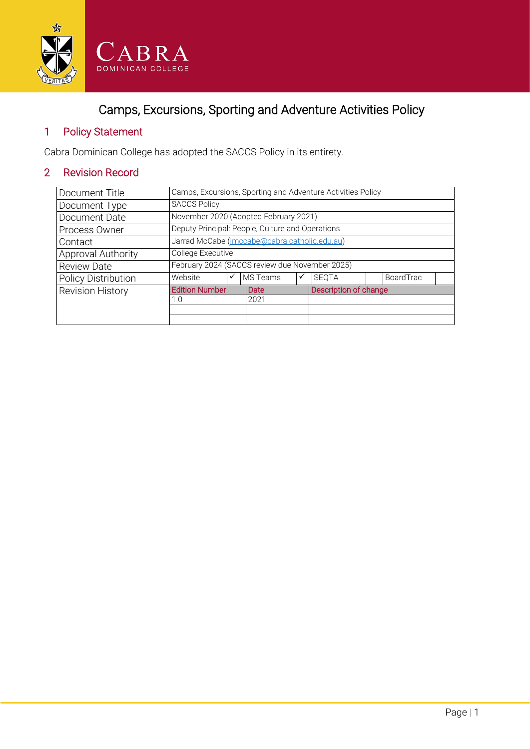

# Camps, Excursions, Sporting and Adventure Activities Policy

# 1 Policy Statement

Cabra Dominican College has adopted the SACCS Policy in its entirety.

# 2 Revision Record

| Document Title             | Camps, Excursions, Sporting and Adventure Activities Policy |   |          |   |                       |  |                  |  |
|----------------------------|-------------------------------------------------------------|---|----------|---|-----------------------|--|------------------|--|
| Document Type              | <b>SACCS Policy</b>                                         |   |          |   |                       |  |                  |  |
| Document Date              | November 2020 (Adopted February 2021)                       |   |          |   |                       |  |                  |  |
| Process Owner              | Deputy Principal: People, Culture and Operations            |   |          |   |                       |  |                  |  |
| Contact                    | Jarrad McCabe (imccabe@cabra.catholic.edu.au)               |   |          |   |                       |  |                  |  |
| Approval Authority         | College Executive                                           |   |          |   |                       |  |                  |  |
| <b>Review Date</b>         | February 2024 (SACCS review due November 2025)              |   |          |   |                       |  |                  |  |
| <b>Policy Distribution</b> | Website                                                     | ✓ | MS Teams | ✓ | <b>SEOTA</b>          |  | <b>BoardTrac</b> |  |
| <b>Revision History</b>    | <b>Edition Number</b>                                       |   | Date     |   | Description of change |  |                  |  |
|                            | 1.0                                                         |   | 2021     |   |                       |  |                  |  |
|                            |                                                             |   |          |   |                       |  |                  |  |
|                            |                                                             |   |          |   |                       |  |                  |  |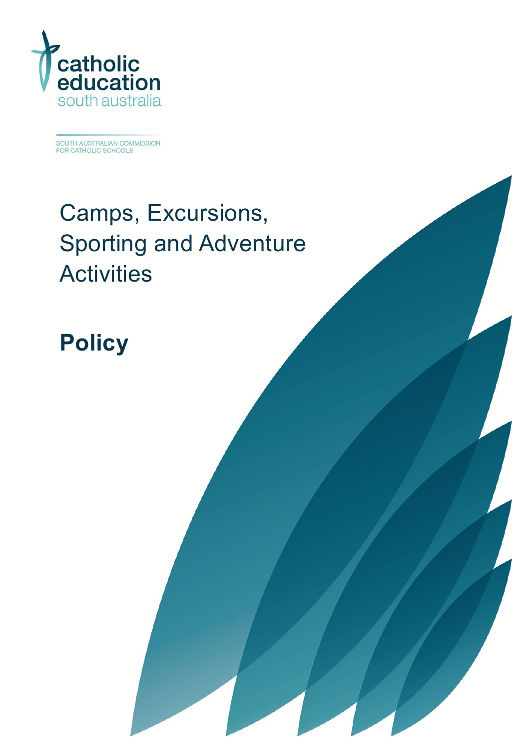

SOUTH AUSTRALIAN COMMISSION<br>FOR CATHOLIC SCHOOLS

# Camps, Excursions, Sporting and Adventure **Activities**

**Policy**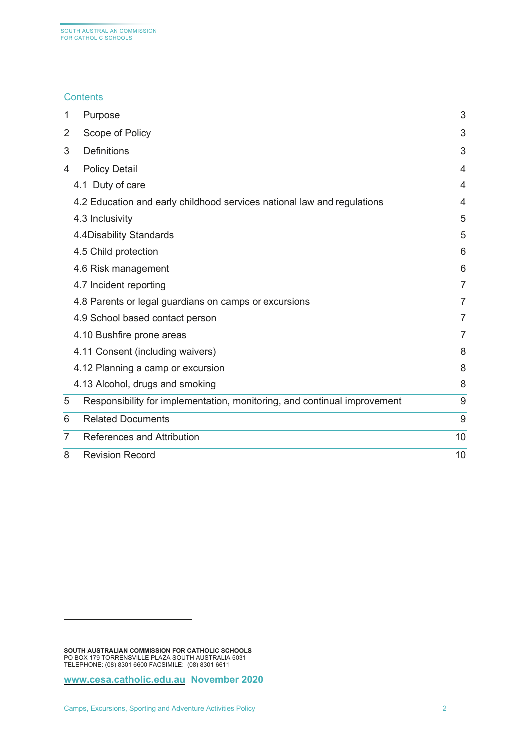#### **Contents**

| 1 | Purpose                                                                  | 3  |
|---|--------------------------------------------------------------------------|----|
| 2 | Scope of Policy                                                          | 3  |
| 3 | <b>Definitions</b>                                                       | 3  |
| 4 | <b>Policy Detail</b>                                                     | 4  |
|   | 4.1 Duty of care                                                         | 4  |
|   | 4.2 Education and early childhood services national law and regulations  | 4  |
|   | 4.3 Inclusivity                                                          | 5  |
|   | 4.4Disability Standards                                                  | 5  |
|   | 4.5 Child protection                                                     | 6  |
|   | 4.6 Risk management                                                      | 6  |
|   | 4.7 Incident reporting                                                   | 7  |
|   | 4.8 Parents or legal guardians on camps or excursions                    | 7  |
|   | 4.9 School based contact person                                          | 7  |
|   | 4.10 Bushfire prone areas                                                | 7  |
|   | 4.11 Consent (including waivers)                                         | 8  |
|   | 4.12 Planning a camp or excursion                                        | 8  |
|   | 4.13 Alcohol, drugs and smoking                                          | 8  |
| 5 | Responsibility for implementation, monitoring, and continual improvement | 9  |
| 6 | <b>Related Documents</b>                                                 | 9  |
| 7 | References and Attribution                                               | 10 |
| 8 | <b>Revision Record</b>                                                   | 10 |

<span id="page-2-0"></span>**SOUTH AUSTRALIAN COMMISSION FOR CATHOLIC SCHOOLS** PO BOX 179 TORRENSVILLE PLAZA SOUTH AUSTRALIA 5031 TELEPHONE: (08) 8301 6600 FACSIMILE: (08) 8301 6611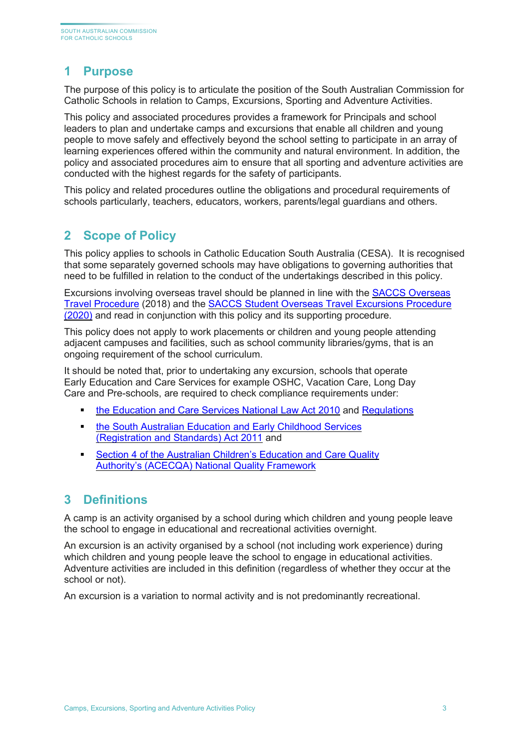# <span id="page-3-0"></span>**1 Purpose**

The purpose of this policy is to articulate the position of the South Australian Commission for Catholic Schools in relation to Camps, Excursions, Sporting and Adventure Activities.

This policy and associated procedures provides a framework for Principals and school leaders to plan and undertake camps and excursions that enable all children and young people to move safely and effectively beyond the school setting to participate in an array of learning experiences offered within the community and natural environment. In addition, the policy and associated procedures aim to ensure that all sporting and adventure activities are conducted with the highest regards for the safety of participants.

This policy and related procedures outline the obligations and procedural requirements of schools particularly, teachers, educators, workers, parents/legal guardians and others.

# <span id="page-3-1"></span>**2 Scope of Policy**

This policy applies to schools in Catholic Education South Australia (CESA). It is recognised that some separately governed schools may have obligations to governing authorities that need to be fulfilled in relation to the conduct of the undertakings described in this policy.

Excursions involving overseas travel should be planned in line with the [SACCS Overseas](https://online.cesa.catholic.edu.au/docushare/dsweb/Get/Document-30863/20180627_Overseas+Travel+Procedure_FINAL_MK.pdf)  [Travel Procedure](https://online.cesa.catholic.edu.au/docushare/dsweb/Get/Document-30863/20180627_Overseas+Travel+Procedure_FINAL_MK.pdf) (2018) and the [SACCS Student Overseas Travel Excursions](https://online.cesa.catholic.edu.au/docushare/dsweb/View/Collection-7259) Procedure [\(2020\)](https://online.cesa.catholic.edu.au/docushare/dsweb/View/Collection-7259) and read in conjunction with this policy and its supporting procedure.

This policy does not apply to work placements or children and young people attending adjacent campuses and facilities, such as school community libraries/gyms, that is an ongoing requirement of the school curriculum.

It should be noted that, prior to undertaking any excursion, schools that operate Early Education and Care Services for example OSHC, Vacation Care, Long Day Care and Pre-schools, are required to check compliance requirements under:

- the [Education and Care Services National Law Act 2010](https://aus01.safelinks.protection.outlook.com/?url=https%3A%2F%2Fwww.acecqa.gov.au%2Fnqf%2Fnational-law-regulations%2Fnational-law&data=02%7C01%7CSteve.Genesin%40cesa.catholic.edu.au%7Cedea9bce22b54a324e5108d838f72e3b%7C324d0eab8f464c94aeff237148fb968e%7C0%7C0%7C637321981571537626&sdata=MWH6YtDi%2FCBgX4UhTtGYKVoOVwO5uqBss14ClgEUm74%3D&reserved=0) and [Regulations](https://aus01.safelinks.protection.outlook.com/?url=https%3A%2F%2Fwww.legislation.nsw.gov.au%2F%23%2Fview%2Fregulation%2F2011%2F653&data=02%7C01%7CSteve.Genesin%40cesa.catholic.edu.au%7Cedea9bce22b54a324e5108d838f72e3b%7C324d0eab8f464c94aeff237148fb968e%7C0%7C0%7C637321981571547622&sdata=JoqpO03JzkrzElXR51tgPga4nn6YyP5buYfFhqj2aUw%3D&reserved=0)
- **the South Australian Education and Early Childhood Services** [\(Registration and Standards\) Act 2011](https://aus01.safelinks.protection.outlook.com/?url=https%3A%2F%2Fwww.legislation.sa.gov.au%2FLZ%2FC%2FA%2FEDUCATION%2520AND%2520EARLY%2520CHILDHOOD%2520SERVICES%2520(REGISTRATION%2520AND%2520STANDARDS)%2520ACT%25202011%2FCURRENT%2F2011.46.AUTH.PDF&data=02%7C01%7CSteve.Genesin%40cesa.catholic.edu.au%7Cedea9bce22b54a324e5108d838f72e3b%7C324d0eab8f464c94aeff237148fb968e%7C0%7C0%7C637321981571557617&sdata=PzDVAdyoR9O%2BcwPvxmjk2h2rIl54BodUIvAdvEnsZvY%3D&reserved=0) and
- [Section 4 of the Australian Children's Education and Care Quality](https://aus01.safelinks.protection.outlook.com/?url=https%3A%2F%2Fwww.acecqa.gov.au%2Fsites%2Fdefault%2Ffiles%2F2020-01%2FGuide-to-the-NQF_2.pdf&data=02%7C01%7CSteve.Genesin%40cesa.catholic.edu.au%7Cedea9bce22b54a324e5108d838f72e3b%7C324d0eab8f464c94aeff237148fb968e%7C0%7C0%7C637321981571557617&sdata=HErDubpWCJ9nsg7O2O%2FxS%2BmOKaPmeyvwWTQrqkzy5yA%3D&reserved=0)  [Authority's \(ACECQA\) National Quality Framework](https://aus01.safelinks.protection.outlook.com/?url=https%3A%2F%2Fwww.acecqa.gov.au%2Fsites%2Fdefault%2Ffiles%2F2020-01%2FGuide-to-the-NQF_2.pdf&data=02%7C01%7CSteve.Genesin%40cesa.catholic.edu.au%7Cedea9bce22b54a324e5108d838f72e3b%7C324d0eab8f464c94aeff237148fb968e%7C0%7C0%7C637321981571557617&sdata=HErDubpWCJ9nsg7O2O%2FxS%2BmOKaPmeyvwWTQrqkzy5yA%3D&reserved=0)

# <span id="page-3-2"></span>**3 Definitions**

A camp is an activity organised by a school during which children and young people leave the school to engage in educational and recreational activities overnight.

An excursion is an activity organised by a school (not including work experience) during which children and young people leave the school to engage in educational activities. Adventure activities are included in this definition (regardless of whether they occur at the school or not).

An excursion is a variation to normal activity and is not predominantly recreational.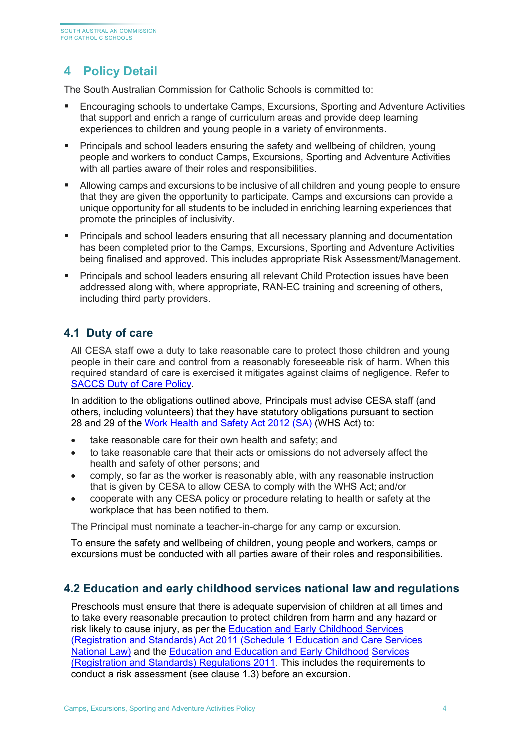# <span id="page-4-0"></span>**4 Policy Detail**

The South Australian Commission for Catholic Schools is committed to:

- Encouraging schools to undertake Camps, Excursions, Sporting and Adventure Activities that support and enrich a range of curriculum areas and provide deep learning experiences to children and young people in a variety of environments.
- **Principals and school leaders ensuring the safety and wellbeing of children, young** people and workers to conduct Camps, Excursions, Sporting and Adventure Activities with all parties aware of their roles and responsibilities.
- Allowing camps and excursions to be inclusive of all children and young people to ensure that they are given the opportunity to participate. Camps and excursions can provide a unique opportunity for all students to be included in enriching learning experiences that promote the principles of inclusivity.
- **Principals and school leaders ensuring that all necessary planning and documentation** has been completed prior to the Camps, Excursions, Sporting and Adventure Activities being finalised and approved. This includes appropriate Risk Assessment/Management.
- Principals and school leaders ensuring all relevant Child Protection issues have been addressed along with, where appropriate, RAN-EC training and screening of others, including third party providers.

## <span id="page-4-1"></span>**4.1 Duty of care**

All CESA staff owe a duty to take reasonable care to protect those children and young people in their care and control from a reasonably foreseeable risk of harm. When this required standard of care is exercised it mitigates against claims of negligence. Refer to [SACCS Duty of Care Policy.](https://online.cesa.catholic.edu.au/docushare/dsweb/Get/Document-26672/Duty+of+Care+Policy_2020.pdf)

In addition to the obligations outlined above, Principals must advise CESA staff (and others, including volunteers) that they have statutory obligations pursuant to section 28 and 29 of the [Work Health and](https://www.legislation.sa.gov.au/LZ/C/A/WORK%20HEALTH%20AND%20SAFETY%20ACT%202012.aspx) [Safety Act 2012 \(SA\) \(](https://www.legislation.sa.gov.au/LZ/C/A/WORK%20HEALTH%20AND%20SAFETY%20ACT%202012.aspx)WHS Act) to:

- take reasonable care for their own health and safety; and
- to take reasonable care that their acts or omissions do not adversely affect the health and safety of other persons; and
- comply, so far as the worker is reasonably able, with any reasonable instruction that is given by CESA to allow CESA to comply with the WHS Act; and/or
- cooperate with any CESA policy or procedure relating to health or safety at the workplace that has been notified to them.

The Principal must nominate a teacher-in-charge for any camp or excursion.

To ensure the safety and wellbeing of children, young people and workers, camps or excursions must be conducted with all parties aware of their roles and responsibilities.

#### <span id="page-4-2"></span>**4.2 Education and early childhood services national law and regulations**

Preschools must ensure that there is adequate supervision of children at all times and to take every reasonable precaution to protect children from harm and any hazard or risk likely to cause injury, as per the [Education and Early Childhood Services](https://www.legislation.sa.gov.au/LZ/C/A/EDUCATION%20AND%20EARLY%20CHILDHOOD%20SERVICES%20(REGISTRATION%20AND%20STANDARDS)%20ACT%202011.aspx)  [\(Registration and Standards\) Act 2011 \(Schedule 1](https://www.legislation.sa.gov.au/LZ/C/A/EDUCATION%20AND%20EARLY%20CHILDHOOD%20SERVICES%20(REGISTRATION%20AND%20STANDARDS)%20ACT%202011.aspx) [Education and Care Services](https://www.legislation.sa.gov.au/LZ/C/A/EDUCATION%20AND%20EARLY%20CHILDHOOD%20SERVICES%20(REGISTRATION%20AND%20STANDARDS)%20ACT%202011.aspx)  [National Law\)](https://www.legislation.sa.gov.au/LZ/C/A/EDUCATION%20AND%20EARLY%20CHILDHOOD%20SERVICES%20(REGISTRATION%20AND%20STANDARDS)%20ACT%202011.aspx) and the [Education and Education and Early Childhood](https://www.acecqa.gov.au/nqf/national-law-regulations/national-regulations) [Services](https://www.acecqa.gov.au/nqf/national-law-regulations/national-regulations)  [\(Registration and Standards\) Regulations 2011.](https://www.acecqa.gov.au/nqf/national-law-regulations/national-regulations) This includes the requirements to conduct a risk assessment (see clause 1.3) before an excursion.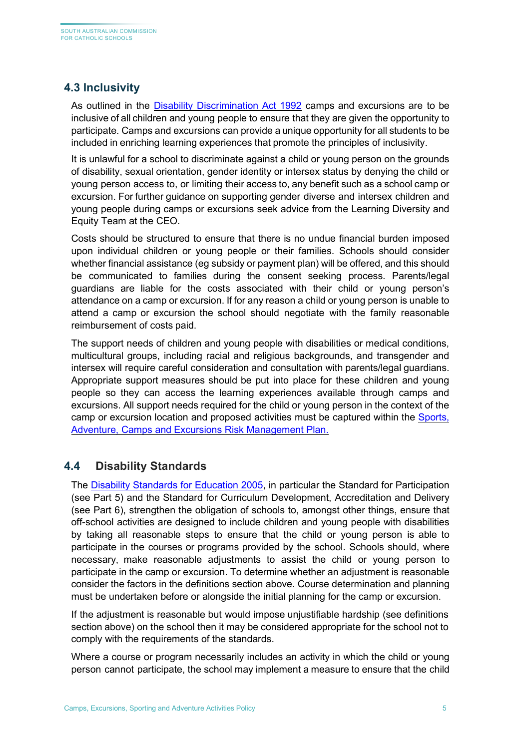## <span id="page-5-0"></span>**4.3 Inclusivity**

As outlined in the Disability [Discrimination](https://www.legislation.gov.au/Details/C2015C00147) Act 1992 camps and excursions are to be inclusive of all children and young people to ensure that they are given the opportunity to participate. Camps and excursions can provide a unique opportunity for all students to be included in enriching learning experiences that promote the principles of inclusivity.

It is unlawful for a school to discriminate against a child or young person on the grounds of disability, sexual orientation, gender identity or intersex status by denying the child or young person access to, or limiting their access to, any benefit such as a school camp or excursion. For further guidance on supporting gender diverse and intersex children and young people during camps or excursions seek advice from the Learning Diversity and Equity Team at the CEO.

Costs should be structured to ensure that there is no undue financial burden imposed upon individual children or young people or their families. Schools should consider whether financial assistance (eg subsidy or payment plan) will be offered, and this should be communicated to families during the consent seeking process. Parents/legal guardians are liable for the costs associated with their child or young person's attendance on a camp or excursion. If for any reason a child or young person is unable to attend a camp or excursion the school should negotiate with the family reasonable reimbursement of costs paid.

The support needs of children and young people with disabilities or medical conditions, multicultural groups, including racial and religious backgrounds, and transgender and intersex will require careful consideration and consultation with parents/legal guardians. Appropriate support measures should be put into place for these children and young people so they can access the learning experiences available through camps and excursions. All support needs required for the child or young person in the context of the camp or excursion location and proposed activities must be captured within the [Sports,](https://online.cesa.catholic.edu.au/docushare/dsweb/View/Collection-7259)  [Adventure, Camps and Excursions Risk Management Plan.](https://online.cesa.catholic.edu.au/docushare/dsweb/View/Collection-7259)

#### <span id="page-5-1"></span>**4.4 Disability Standards**

The **Disability Standards for Education 2005**, in particular the Standard for Participation (see Part 5) and the Standard for Curriculum Development, Accreditation and Delivery (see Part 6), strengthen the obligation of schools to, amongst other things, ensure that off-school activities are designed to include children and young people with disabilities by taking all reasonable steps to ensure that the child or young person is able to participate in the courses or programs provided by the school. Schools should, where necessary, make reasonable adjustments to assist the child or young person to participate in the camp or excursion. To determine whether an adjustment is reasonable consider the factors in the definitions section above. Course determination and planning must be undertaken before or alongside the initial planning for the camp or excursion.

If the adjustment is reasonable but would impose unjustifiable hardship (see definitions section above) on the school then it may be considered appropriate for the school not to comply with the requirements of the standards.

Where a course or program necessarily includes an activity in which the child or young person cannot participate, the school may implement a measure to ensure that the child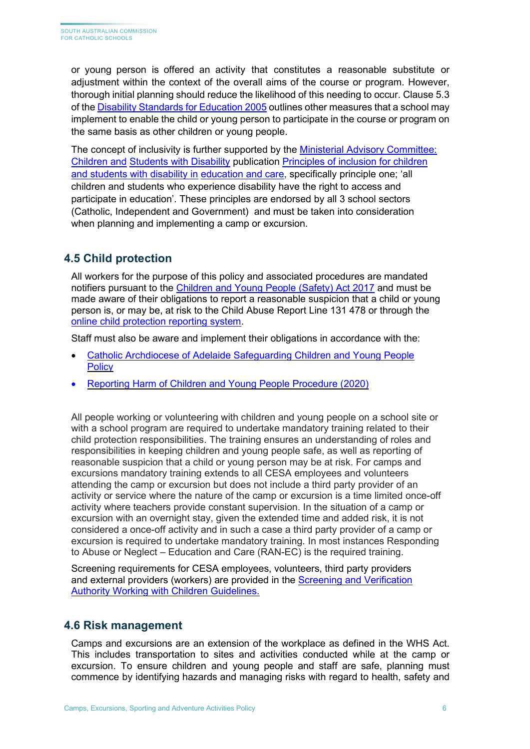or young person is offered an activity that constitutes a reasonable substitute or adjustment within the context of the overall aims of the course or program. However, thorough initial planning should reduce the likelihood of this needing to occur. Clause 5.3 of th[e Disability Standards for Education 2005](https://www.legislation.gov.au/Details/F2005L00767) outlines other measures that a school may implement to enable the child or young person to participate in the course or program on the same basis as other children or young people.

The concept of inclusivity is further supported by the [Ministerial Advisory Committee:](https://www.education.sa.gov.au/department/about-department/minister-education-and-child-development-decd/ministerial-advisory-committee-children-and-students-disability/maccswd-publications)  [Children and](https://www.education.sa.gov.au/department/about-department/minister-education-and-child-development-decd/ministerial-advisory-committee-children-and-students-disability/maccswd-publications) [Students with Disability](https://www.education.sa.gov.au/department/about-department/minister-education-and-child-development-decd/ministerial-advisory-committee-children-and-students-disability/maccswd-publications) publication [Principles of inclusion for children](https://www.education.sa.gov.au/department/about-department/minister-education-and-child-development-decd/ministerial-advisory-committee-children-and-students-disability/principles-inclusion-children-students-disability)  [and students with disability in](https://www.education.sa.gov.au/department/about-department/minister-education-and-child-development-decd/ministerial-advisory-committee-children-and-students-disability/principles-inclusion-children-students-disability) [education and care,](https://www.education.sa.gov.au/department/about-department/minister-education-and-child-development-decd/ministerial-advisory-committee-children-and-students-disability/principles-inclusion-children-students-disability) specifically principle one; 'all children and students who experience disability have the right to access and participate in education'. These principles are endorsed by all 3 school sectors (Catholic, Independent and Government) and must be taken into consideration when planning and implementing a camp or excursion.

# <span id="page-6-0"></span>**4.5 Child protection**

All workers for the purpose of this policy and associated procedures are mandated notifiers pursuant to the [Children and Young People \(Safety\) Act 2017](https://www.legislation.sa.gov.au/LZ/C/A/CHILDREN%20AND%20YOUNG%20PEOPLE%20(SAFETY)%20ACT%202017.aspx) and must be made aware of their obligations to report a reasonable suspicion that a child or young person is, or may be, at risk to the Child Abuse Report Line 131 478 or through the [online child protection reporting system.](https://my.families.sa.gov.au/IDMProv/landing.html)

Staff must also be aware and implement their obligations in accordance with the:

- [Catholic Archdiocese of Adelaide Safeguarding Children and Young People](https://adelaide.catholic.org.au/__files/f/36861/Safeguarding%20Children%20and%20Young%20People%20Policy%20.pdf)  **[Policy](https://adelaide.catholic.org.au/__files/f/36861/Safeguarding%20Children%20and%20Young%20People%20Policy%20.pdf)**
- [Reporting Harm of Children and Young People Procedure](https://online.cesa.catholic.edu.au/docushare/dsweb/View/Collection-7201) (2020)

All people working or volunteering with children and young people on a school site or with a school program are required to undertake mandatory training related to their child protection responsibilities. The training ensures an understanding of roles and responsibilities in keeping children and young people safe, as well as reporting of reasonable suspicion that a child or young person may be at risk. For camps and excursions mandatory training extends to all CESA employees and volunteers attending the camp or excursion but does not include a third party provider of an activity or service where the nature of the camp or excursion is a time limited once-off activity where teachers provide constant supervision. In the situation of a camp or excursion with an overnight stay, given the extended time and added risk, it is not considered a once-off activity and in such a case a third party provider of a camp or excursion is required to undertake mandatory training. In most instances Responding to Abuse or Neglect – Education and Care (RAN-EC) is the required training.

Screening requirements for CESA employees, volunteers, third party providers and external providers (workers) are provided in the [Screening and Verification](https://adelaide.catholic.org.au/__files/f/35823/Working%20with%20Children%20Checks%20Screening%20Policy%20September%2019%20PCUPOL01%20approved.pdf)  [Authority Working with Children Guidelines.](https://adelaide.catholic.org.au/__files/f/35823/Working%20with%20Children%20Checks%20Screening%20Policy%20September%2019%20PCUPOL01%20approved.pdf)

#### <span id="page-6-1"></span>**4.6 Risk management**

Camps and excursions are an extension of the workplace as defined in the WHS Act. This includes transportation to sites and activities conducted while at the camp or excursion. To ensure children and young people and staff are safe, planning must commence by identifying hazards and managing risks with regard to health, safety and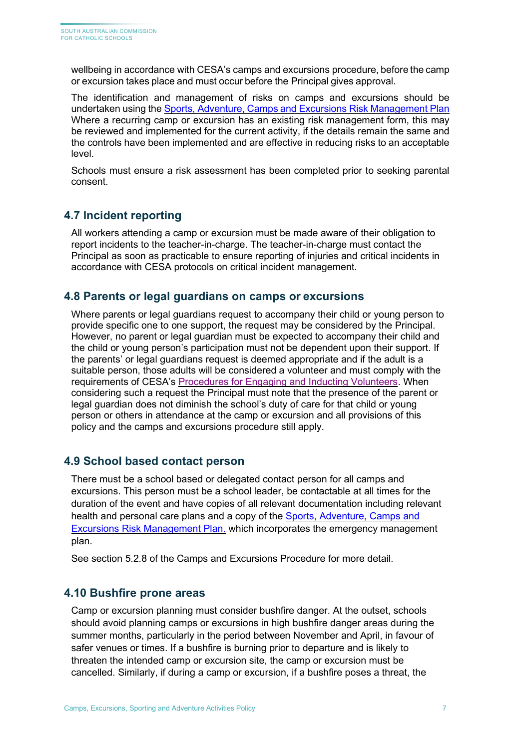wellbeing in accordance with CESA's camps and excursions procedure, before the camp or excursion takes place and must occur before the Principal gives approval.

The identification and management of risks on camps and excursions should be undertaken using the [Sports, Adventure, Camps and Excursions Risk Management Plan](https://online.cesa.catholic.edu.au/docushare/dsweb/View/Collection-7259) Where a recurring camp or excursion has an existing risk management form, this may be reviewed and implemented for the current activity, if the details remain the same and the controls have been implemented and are effective in reducing risks to an acceptable level.

Schools must ensure a risk assessment has been completed prior to seeking parental consent.

#### <span id="page-7-0"></span>**4.7 Incident reporting**

All workers attending a camp or excursion must be made aware of their obligation to report incidents to the teacher-in-charge. The teacher-in-charge must contact the Principal as soon as practicable to ensure reporting of injuries and critical incidents in accordance with CESA protocols on critical incident management.

#### <span id="page-7-1"></span>**4.8 Parents or legal guardians on camps or excursions**

Where parents or legal guardians request to accompany their child or young person to provide specific one to one support, the request may be considered by the Principal. However, no parent or legal guardian must be expected to accompany their child and the child or young person's participation must not be dependent upon their support. If the parents' or legal guardians request is deemed appropriate and if the adult is a [suitable person,](https://edi.sa.edu.au/operations-and-management/school-preschool-and-fdc-admin/managing-volunteers/screening-and-suitability) those adults will be considered a volunteer and must comply with the requirements of CESA's [Procedures for Engaging and Inducting Volunteers.](https://online.cesa.catholic.edu.au/docushare/dsweb/Get/Document-32034/20191212_Procedures+for+Engaging+and+Inducting+Volunteers+Dec+2019_TA.pdf) When considering such a request the Principal must note that the presence of the parent or legal guardian does not diminish the school's duty of care for that child or young person or others in attendance at the camp or excursion and all provisions of this policy and the camps and excursions procedure still apply.

#### <span id="page-7-2"></span>**4.9 School based contact person**

There must be a school based or delegated contact person for all camps and excursions. This person must be a school leader, be contactable at all times for the duration of the event and have copies of all relevant documentation including relevant health and personal care plans and a copy of the [Sports, Adventure, Camps and](https://online.cesa.catholic.edu.au/docushare/dsweb/View/Collection-7259) [Excursions Risk Management Plan.](https://online.cesa.catholic.edu.au/docushare/dsweb/View/Collection-7259) which incorporates the emergency management plan.

See section 5.2.8 of the Camps and Excursions Procedure for more detail.

#### <span id="page-7-3"></span>**4.10 Bushfire prone areas**

Camp or excursion planning must consider bushfire danger. At the outset, schools should avoid planning camps or excursions in high bushfire danger areas during the summer months, particularly in the period between November and April, in favour of safer venues or times. If a bushfire is burning prior to departure and is likely to threaten the intended camp or excursion site, the camp or excursion must be cancelled. Similarly, if during a camp or excursion, if a bushfire poses a threat, the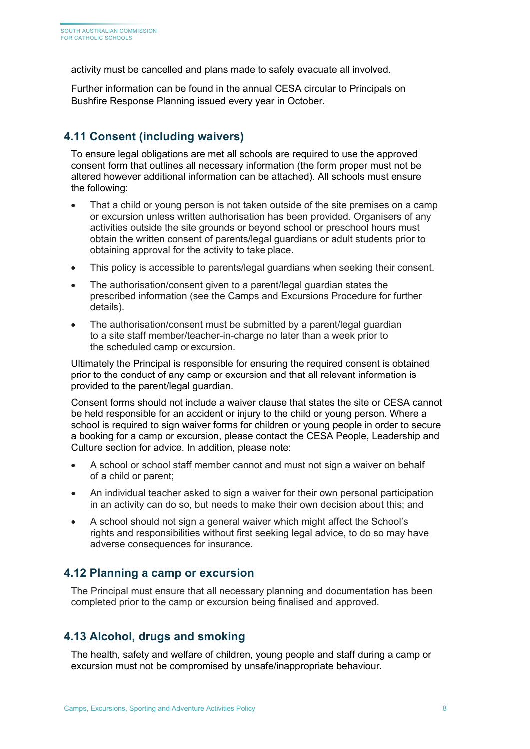activity must be cancelled and plans made to safely evacuate all involved.

Further information can be found in the annual CESA circular to Principals on Bushfire Response Planning issued every year in October.

#### <span id="page-8-0"></span>**4.11 Consent (including waivers)**

To ensure legal obligations are met all schools are required to use the approved [consent form t](https://edi.sa.edu.au/hr/for-managers/health-and-safety/creating-a-safe-workplace/camps-and-excursions)hat outlines all necessary information (the form proper must not be altered however additional information can be attached). All schools must ensure the following:

- That a child or young person is not taken outside of the site premises on a camp or excursion unless written authorisation has been provided. Organisers of any activities outside the site grounds or beyond school or preschool hours must obtain the written consent of parents/legal guardians or adult students prior to obtaining approval for the activity to take place.
- This policy is accessible to parents/legal guardians when seeking their consent.
- The authorisation/consent given to a parent/legal guardian states the prescribed information (see the Camps and Excursions Procedure for further details).
- The authorisation/consent must be submitted by a parent/legal guardian to a site staff member/teacher-in-charge no later than a week prior to the scheduled camp or excursion.

Ultimately the Principal is responsible for ensuring the required consent is obtained prior to the conduct of any camp or excursion and that all relevant information is provided to the parent/legal guardian.

Consent forms should not include a waiver clause that states the site or CESA cannot be held responsible for an accident or injury to the child or young person. Where a school is required to sign waiver forms for children or young people in order to secure a booking for a camp or excursion, please contact the CESA People, Leadership and Culture section for advice. In addition, please note:

- A school or school staff member cannot and must not sign a waiver on behalf of a child or parent;
- An individual teacher asked to sign a waiver for their own personal participation in an activity can do so, but needs to make their own decision about this; and
- A school should not sign a general waiver which might affect the School's rights and responsibilities without first seeking legal advice, to do so may have adverse consequences for insurance.

#### <span id="page-8-1"></span>**4.12 Planning a camp or excursion**

The Principal must ensure that all necessary planning and documentation has been completed prior to the camp or excursion being finalised and approved.

#### <span id="page-8-2"></span>**4.13 Alcohol, drugs and smoking**

The health, safety and welfare of children, young people and staff during a camp or excursion must not be compromised by unsafe/inappropriate behaviour.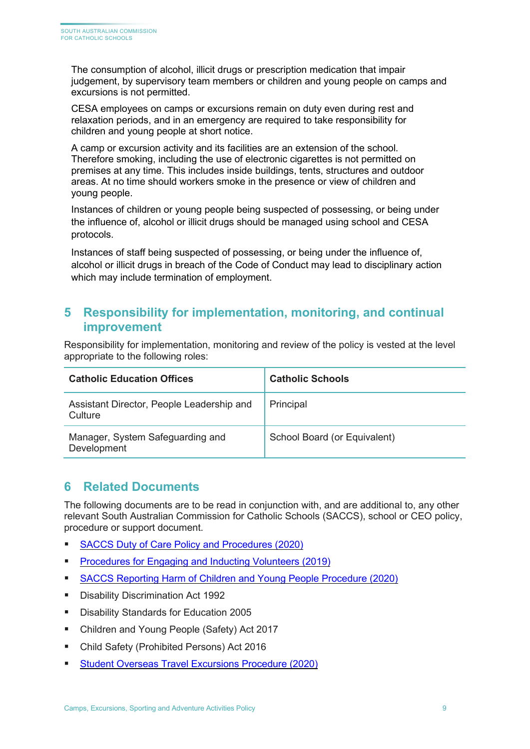The consumption of alcohol, illicit drugs or prescription medication that impair judgement, by supervisory team members or children and young people on camps and excursions is not permitted.

CESA employees on camps or excursions remain on duty even during rest and relaxation periods, and in an emergency are required to take responsibility for children and young people at short notice.

A camp or excursion activity and its facilities are an extension of the school. Therefore smoking, including the use of electronic cigarettes is not permitted on premises at any time. This includes inside buildings, tents, structures and outdoor areas. At no time should workers smoke in the presence or view of children and young people.

Instances of children or young people being suspected of possessing, or being under the influence of, alcohol or illicit drugs should be managed using school and CESA protocols.

Instances of staff being suspected of possessing, or being under the influence of, alcohol or illicit drugs in breach of the Code of Conduct may lead to disciplinary action which may include termination of employment.

# <span id="page-9-0"></span>**5 Responsibility for implementation, monitoring, and continual improvement**

Responsibility for implementation, monitoring and review of the policy is vested at the level appropriate to the following roles:

| <b>Catholic Education Offices</b>                    | <b>Catholic Schools</b>      |  |  |  |
|------------------------------------------------------|------------------------------|--|--|--|
| Assistant Director, People Leadership and<br>Culture | Principal                    |  |  |  |
| Manager, System Safeguarding and<br>Development      | School Board (or Equivalent) |  |  |  |

# <span id="page-9-1"></span>**6 Related Documents**

The following documents are to be read in conjunction with, and are additional to, any other relevant South Australian Commission for Catholic Schools (SACCS), school or CEO policy, procedure or support document.

- [SACCS Duty of Care Policy and Procedures \(2020\)](https://online.cesa.catholic.edu.au/docushare/dsweb/Get/Document-26672/Duty+of+Care+Policy_2020.pdf)
- **[Procedures for Engaging and Inducting Volunteers \(2019\)](https://online.cesa.catholic.edu.au/docushare/dsweb/Get/Document-32034/20191212_Procedures+for+Engaging+and+Inducting+Volunteers+Dec+2019_TA.pdf)**
- [SACCS Reporting Harm of Children and Young People Procedure \(2020\)](https://online.cesa.catholic.edu.au/docushare/dsweb/View/Collection-7201)
- **[Disability Discrimination Act 1992](https://www.legislation.gov.au/Series/C2004A04426)**
- [Disability Standards for Education 2005](https://www.education.gov.au/disability-standards-education-2005)
- [Children and Young People \(Safety\) Act 2017](https://www.legislation.sa.gov.au/LZ/C/A/CHILDREN%20AND%20YOUNG%20PEOPLE%20(SAFETY)%20ACT%202017.aspx)
- Child Safety (Prohibited Persons) Act 2016
- **[Student Overseas Travel Excursions](https://online.cesa.catholic.edu.au/docushare/dsweb/View/Collection-7259) Procedure (2020)**